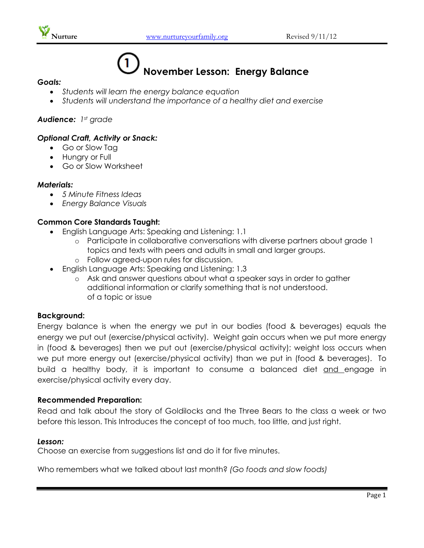



# **November Lesson: Energy Balance**

#### *Goals:*

- *Students will learn the energy balance equation*
- *Students will understand the importance of a healthy diet and exercise*

### *Audience: 1st grade*

## *Optional Craft, Activity or Snack:*

- Go or Slow Tag
- Hungry or Full
- Go or Slow Worksheet

#### *Materials:*

- *5 Minute Fitness Ideas*
- *Energy Balance Visuals*

## **Common Core Standards Taught:**

- English Language Arts: Speaking and Listening: 1.1
	- o Participate in collaborative conversations with diverse partners about grade 1 topics and texts with peers and adults in small and larger groups.
	- o Follow agreed-upon rules for discussion.
- English Language Arts: Speaking and Listening: 1.3
	- o Ask and answer questions about what a speaker says in order to gather additional information or clarify something that is not understood. of a topic or issue

#### **Background:**

Energy balance is when the energy we put in our bodies (food & beverages) equals the energy we put out (exercise/physical activity). Weight gain occurs when we put more energy in (food & beverages) then we put out (exercise/physical activity); weight loss occurs when we put more energy out (exercise/physical activity) than we put in (food & beverages). To build a healthy body, it is important to consume a balanced diet and engage in exercise/physical activity every day.

#### **Recommended Preparation:**

Read and talk about the story of Goldilocks and the Three Bears to the class a week or two before this lesson. This Introduces the concept of too much, too little, and just right.

#### *Lesson:*

Choose an exercise from suggestions list and do it for five minutes.

Who remembers what we talked about last month? *(Go foods and slow foods)*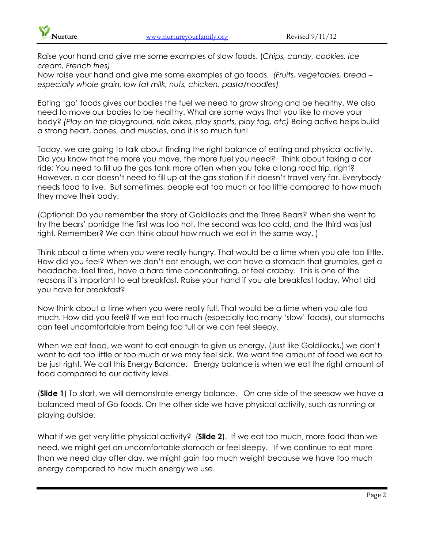

Raise your hand and give me some examples of slow foods. (*Chips, candy, cookies, ice cream, French fries)*

Now raise your hand and give me some examples of go foods. *(Fruits, vegetables, bread – especially whole grain, low fat milk, nuts, chicken, pasta/noodles)*

Eating 'go' foods gives our bodies the fuel we need to grow strong and be healthy. We also need to move our bodies to be healthy. What are some ways that you like to move your body? *(Play on the playground, ride bikes, play sports, play tag, etc)* Being active helps build a strong heart, bones, and muscles, and it is so much fun!

Today, we are going to talk about finding the right balance of eating and physical activity. Did you know that the more you move, the more fuel you need? Think about taking a car ride; You need to fill up the gas tank more often when you take a long road trip, right? However, a car doesn't need to fill up at the gas station if it doesn't travel very far. Everybody needs food to live. But sometimes, people eat too much or too little compared to how much they move their body.

(Optional: Do you remember the story of Goldilocks and the Three Bears? When she went to try the bears' porridge the first was too hot, the second was too cold, and the third was just right. Remember? We can think about how much we eat in the same way. )

Think about a time when you were really hungry. That would be a time when you ate too little. How did you feel? When we don't eat enough, we can have a stomach that grumbles, get a headache, feel tired, have a hard time concentrating, or feel crabby. This is one of the reasons it's important to eat breakfast. Raise your hand if you ate breakfast today. What did you have for breakfast?

Now think about a time when you were really full. That would be a time when you ate too much. How did you feel? If we eat too much (especially too many 'slow' foods), our stomachs can feel uncomfortable from being too full or we can feel sleepy.

When we eat food, we want to eat enough to give us energy. (Just like Goldilocks,) we don't want to eat too little or too much or we may feel sick. We want the amount of food we eat to be just right. We call this Energy Balance. Energy balance is when we eat the right amount of food compared to our activity level.

(**Slide 1**) To start, we will demonstrate energy balance. On one side of the seesaw we have a balanced meal of Go foods. On the other side we have physical activity, such as running or playing outside.

What if we get very little physical activity? (**Slide 2**). If we eat too much, more food than we need, we might get an uncomfortable stomach or feel sleepy. If we continue to eat more than we need day after day, we might gain too much weight because we have too much energy compared to how much energy we use.